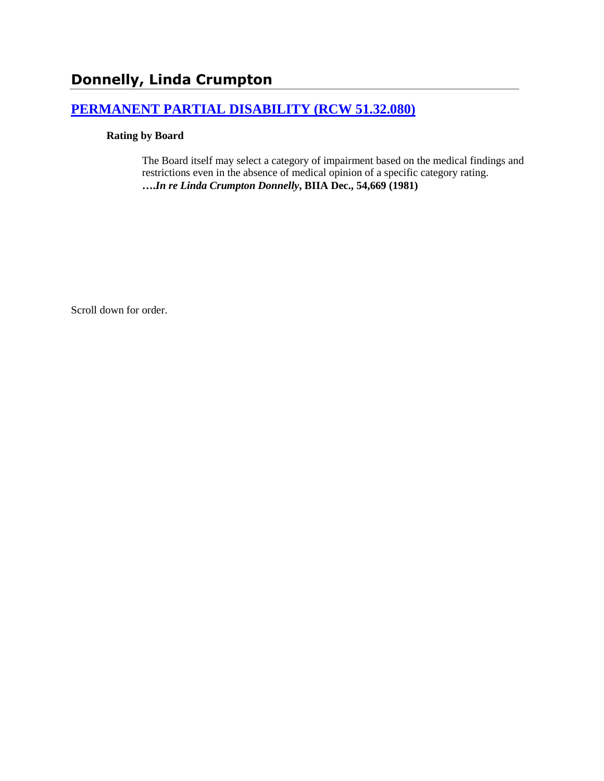# **Donnelly, Linda Crumpton**

# **[PERMANENT PARTIAL DISABILITY \(RCW 51.32.080\)](http://www.biia.wa.gov/SDSubjectIndex.html#PERMANENT_PARTIAL_DISABILITY)**

#### **Rating by Board**

The Board itself may select a category of impairment based on the medical findings and restrictions even in the absence of medical opinion of a specific category rating. **….***In re Linda Crumpton Donnelly***, BIIA Dec., 54,669 (1981)**

Scroll down for order.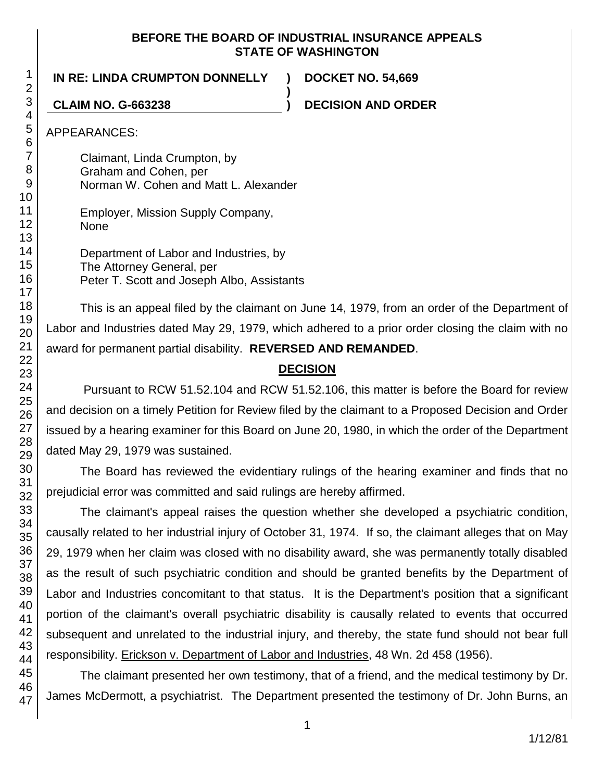#### **BEFORE THE BOARD OF INDUSTRIAL INSURANCE APPEALS STATE OF WASHINGTON**

**)**

**IN RE: LINDA CRUMPTON DONNELLY ) DOCKET NO. 54,669**

**CLAIM NO. G-663238 ) DECISION AND ORDER**

APPEARANCES:

Claimant, Linda Crumpton, by Graham and Cohen, per Norman W. Cohen and Matt L. Alexander

Employer, Mission Supply Company, None

Department of Labor and Industries, by The Attorney General, per Peter T. Scott and Joseph Albo, Assistants

This is an appeal filed by the claimant on June 14, 1979, from an order of the Department of Labor and Industries dated May 29, 1979, which adhered to a prior order closing the claim with no award for permanent partial disability. **REVERSED AND REMANDED**.

# **DECISION**

Pursuant to RCW 51.52.104 and RCW 51.52.106, this matter is before the Board for review and decision on a timely Petition for Review filed by the claimant to a Proposed Decision and Order issued by a hearing examiner for this Board on June 20, 1980, in which the order of the Department dated May 29, 1979 was sustained.

The Board has reviewed the evidentiary rulings of the hearing examiner and finds that no prejudicial error was committed and said rulings are hereby affirmed.

The claimant's appeal raises the question whether she developed a psychiatric condition, causally related to her industrial injury of October 31, 1974. If so, the claimant alleges that on May 29, 1979 when her claim was closed with no disability award, she was permanently totally disabled as the result of such psychiatric condition and should be granted benefits by the Department of Labor and Industries concomitant to that status. It is the Department's position that a significant portion of the claimant's overall psychiatric disability is causally related to events that occurred subsequent and unrelated to the industrial injury, and thereby, the state fund should not bear full responsibility. Erickson v. Department of Labor and Industries, 48 Wn. 2d 458 (1956).

The claimant presented her own testimony, that of a friend, and the medical testimony by Dr. James McDermott, a psychiatrist. The Department presented the testimony of Dr. John Burns, an

1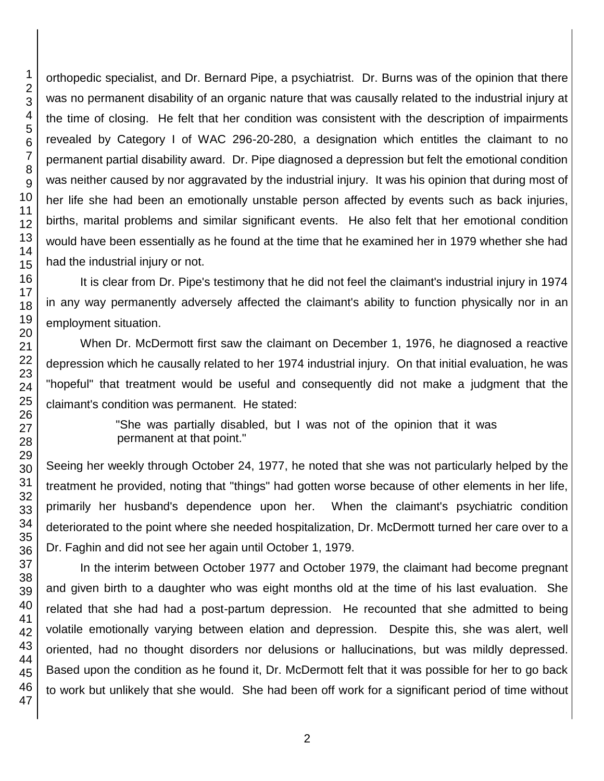orthopedic specialist, and Dr. Bernard Pipe, a psychiatrist. Dr. Burns was of the opinion that there was no permanent disability of an organic nature that was causally related to the industrial injury at the time of closing. He felt that her condition was consistent with the description of impairments revealed by Category I of WAC 296-20-280, a designation which entitles the claimant to no permanent partial disability award. Dr. Pipe diagnosed a depression but felt the emotional condition was neither caused by nor aggravated by the industrial injury. It was his opinion that during most of her life she had been an emotionally unstable person affected by events such as back injuries, births, marital problems and similar significant events. He also felt that her emotional condition would have been essentially as he found at the time that he examined her in 1979 whether she had had the industrial injury or not.

It is clear from Dr. Pipe's testimony that he did not feel the claimant's industrial injury in 1974 in any way permanently adversely affected the claimant's ability to function physically nor in an employment situation.

When Dr. McDermott first saw the claimant on December 1, 1976, he diagnosed a reactive depression which he causally related to her 1974 industrial injury. On that initial evaluation, he was "hopeful" that treatment would be useful and consequently did not make a judgment that the claimant's condition was permanent. He stated:

> "She was partially disabled, but I was not of the opinion that it was permanent at that point."

Seeing her weekly through October 24, 1977, he noted that she was not particularly helped by the treatment he provided, noting that "things" had gotten worse because of other elements in her life, primarily her husband's dependence upon her. When the claimant's psychiatric condition deteriorated to the point where she needed hospitalization, Dr. McDermott turned her care over to a Dr. Faghin and did not see her again until October 1, 1979.

In the interim between October 1977 and October 1979, the claimant had become pregnant and given birth to a daughter who was eight months old at the time of his last evaluation. She related that she had had a post-partum depression. He recounted that she admitted to being volatile emotionally varying between elation and depression. Despite this, she was alert, well oriented, had no thought disorders nor delusions or hallucinations, but was mildly depressed. Based upon the condition as he found it, Dr. McDermott felt that it was possible for her to go back to work but unlikely that she would. She had been off work for a significant period of time without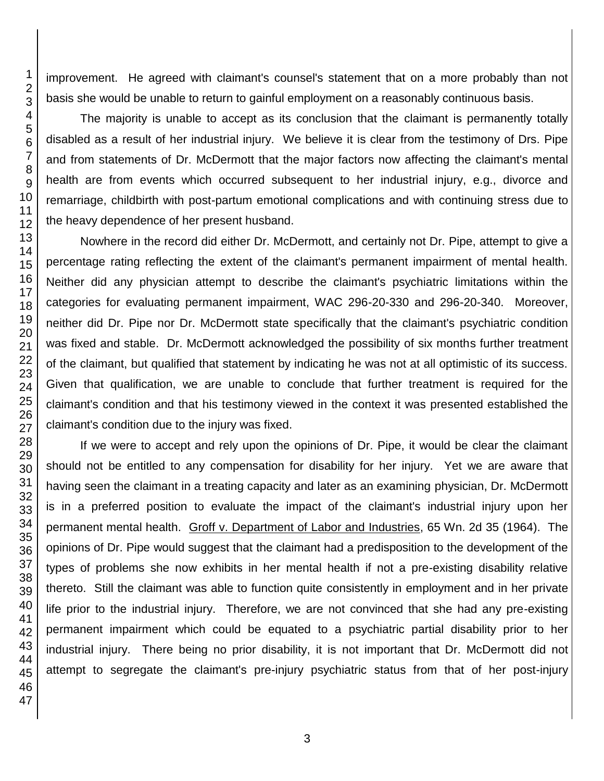improvement. He agreed with claimant's counsel's statement that on a more probably than not basis she would be unable to return to gainful employment on a reasonably continuous basis.

The majority is unable to accept as its conclusion that the claimant is permanently totally disabled as a result of her industrial injury. We believe it is clear from the testimony of Drs. Pipe and from statements of Dr. McDermott that the major factors now affecting the claimant's mental health are from events which occurred subsequent to her industrial injury, e.g., divorce and remarriage, childbirth with post-partum emotional complications and with continuing stress due to the heavy dependence of her present husband.

Nowhere in the record did either Dr. McDermott, and certainly not Dr. Pipe, attempt to give a percentage rating reflecting the extent of the claimant's permanent impairment of mental health. Neither did any physician attempt to describe the claimant's psychiatric limitations within the categories for evaluating permanent impairment, WAC 296-20-330 and 296-20-340. Moreover, neither did Dr. Pipe nor Dr. McDermott state specifically that the claimant's psychiatric condition was fixed and stable. Dr. McDermott acknowledged the possibility of six months further treatment of the claimant, but qualified that statement by indicating he was not at all optimistic of its success. Given that qualification, we are unable to conclude that further treatment is required for the claimant's condition and that his testimony viewed in the context it was presented established the claimant's condition due to the injury was fixed.

If we were to accept and rely upon the opinions of Dr. Pipe, it would be clear the claimant should not be entitled to any compensation for disability for her injury. Yet we are aware that having seen the claimant in a treating capacity and later as an examining physician, Dr. McDermott is in a preferred position to evaluate the impact of the claimant's industrial injury upon her permanent mental health. Groff v. Department of Labor and Industries, 65 Wn. 2d 35 (1964). The opinions of Dr. Pipe would suggest that the claimant had a predisposition to the development of the types of problems she now exhibits in her mental health if not a pre-existing disability relative thereto. Still the claimant was able to function quite consistently in employment and in her private life prior to the industrial injury. Therefore, we are not convinced that she had any pre-existing permanent impairment which could be equated to a psychiatric partial disability prior to her industrial injury. There being no prior disability, it is not important that Dr. McDermott did not attempt to segregate the claimant's pre-injury psychiatric status from that of her post-injury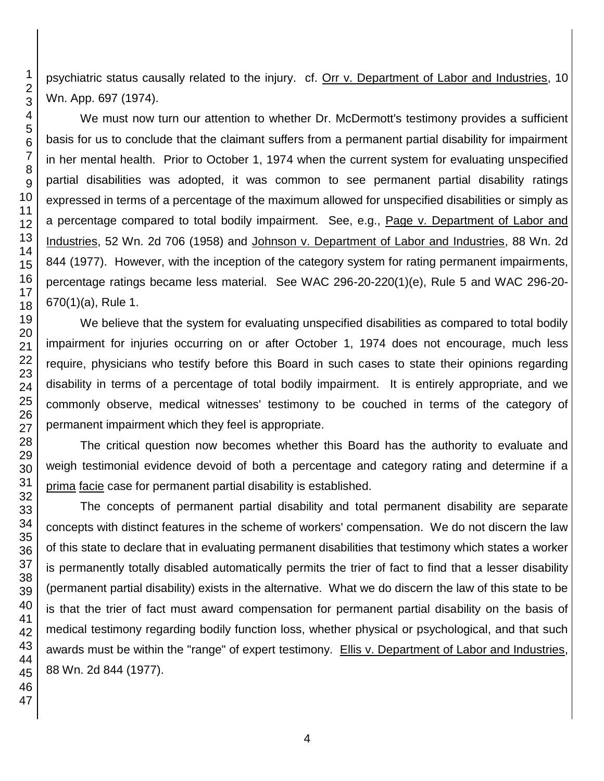psychiatric status causally related to the injury. cf. Orr v. Department of Labor and Industries, 10 Wn. App. 697 (1974).

We must now turn our attention to whether Dr. McDermott's testimony provides a sufficient basis for us to conclude that the claimant suffers from a permanent partial disability for impairment in her mental health. Prior to October 1, 1974 when the current system for evaluating unspecified partial disabilities was adopted, it was common to see permanent partial disability ratings expressed in terms of a percentage of the maximum allowed for unspecified disabilities or simply as a percentage compared to total bodily impairment. See, e.g., Page v. Department of Labor and Industries, 52 Wn. 2d 706 (1958) and Johnson v. Department of Labor and Industries, 88 Wn. 2d 844 (1977). However, with the inception of the category system for rating permanent impairments, percentage ratings became less material. See WAC 296-20-220(1)(e), Rule 5 and WAC 296-20- 670(1)(a), Rule 1.

We believe that the system for evaluating unspecified disabilities as compared to total bodily impairment for injuries occurring on or after October 1, 1974 does not encourage, much less require, physicians who testify before this Board in such cases to state their opinions regarding disability in terms of a percentage of total bodily impairment. It is entirely appropriate, and we commonly observe, medical witnesses' testimony to be couched in terms of the category of permanent impairment which they feel is appropriate.

The critical question now becomes whether this Board has the authority to evaluate and weigh testimonial evidence devoid of both a percentage and category rating and determine if a prima facie case for permanent partial disability is established.

The concepts of permanent partial disability and total permanent disability are separate concepts with distinct features in the scheme of workers' compensation. We do not discern the law of this state to declare that in evaluating permanent disabilities that testimony which states a worker is permanently totally disabled automatically permits the trier of fact to find that a lesser disability (permanent partial disability) exists in the alternative. What we do discern the law of this state to be is that the trier of fact must award compensation for permanent partial disability on the basis of medical testimony regarding bodily function loss, whether physical or psychological, and that such awards must be within the "range" of expert testimony. Ellis v. Department of Labor and Industries, 88 Wn. 2d 844 (1977).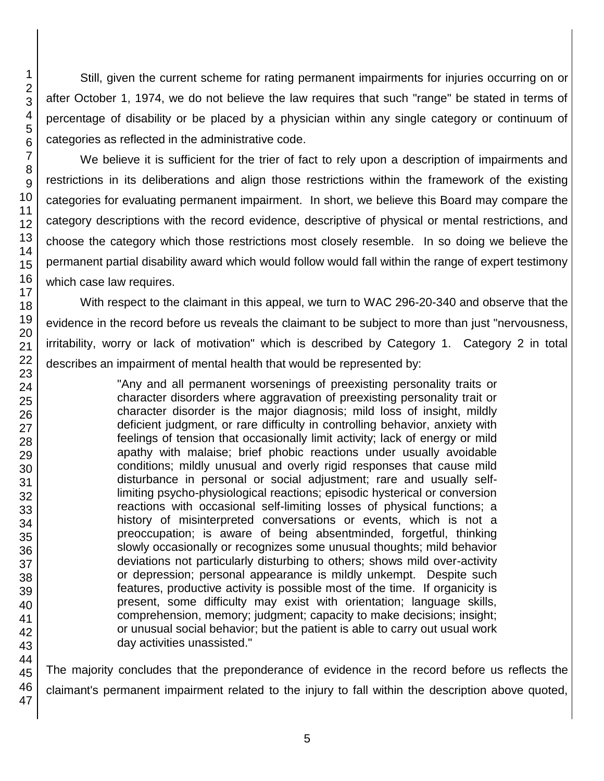Still, given the current scheme for rating permanent impairments for injuries occurring on or after October 1, 1974, we do not believe the law requires that such "range" be stated in terms of percentage of disability or be placed by a physician within any single category or continuum of categories as reflected in the administrative code.

We believe it is sufficient for the trier of fact to rely upon a description of impairments and restrictions in its deliberations and align those restrictions within the framework of the existing categories for evaluating permanent impairment. In short, we believe this Board may compare the category descriptions with the record evidence, descriptive of physical or mental restrictions, and choose the category which those restrictions most closely resemble. In so doing we believe the permanent partial disability award which would follow would fall within the range of expert testimony which case law requires.

With respect to the claimant in this appeal, we turn to WAC 296-20-340 and observe that the evidence in the record before us reveals the claimant to be subject to more than just "nervousness, irritability, worry or lack of motivation" which is described by Category 1. Category 2 in total describes an impairment of mental health that would be represented by:

> "Any and all permanent worsenings of preexisting personality traits or character disorders where aggravation of preexisting personality trait or character disorder is the major diagnosis; mild loss of insight, mildly deficient judgment, or rare difficulty in controlling behavior, anxiety with feelings of tension that occasionally limit activity; lack of energy or mild apathy with malaise; brief phobic reactions under usually avoidable conditions; mildly unusual and overly rigid responses that cause mild disturbance in personal or social adjustment; rare and usually selflimiting psycho-physiological reactions; episodic hysterical or conversion reactions with occasional self-limiting losses of physical functions; a history of misinterpreted conversations or events, which is not a preoccupation; is aware of being absentminded, forgetful, thinking slowly occasionally or recognizes some unusual thoughts; mild behavior deviations not particularly disturbing to others; shows mild over-activity or depression; personal appearance is mildly unkempt. Despite such features, productive activity is possible most of the time. If organicity is present, some difficulty may exist with orientation; language skills, comprehension, memory; judgment; capacity to make decisions; insight; or unusual social behavior; but the patient is able to carry out usual work day activities unassisted."

The majority concludes that the preponderance of evidence in the record before us reflects the claimant's permanent impairment related to the injury to fall within the description above quoted,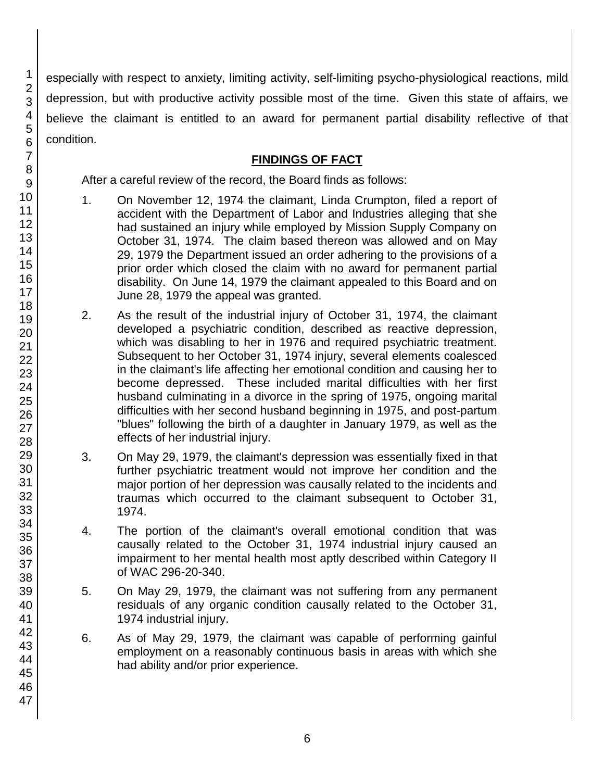especially with respect to anxiety, limiting activity, self-limiting psycho-physiological reactions, mild depression, but with productive activity possible most of the time. Given this state of affairs, we believe the claimant is entitled to an award for permanent partial disability reflective of that condition.

# **FINDINGS OF FACT**

After a careful review of the record, the Board finds as follows:

- 1. On November 12, 1974 the claimant, Linda Crumpton, filed a report of accident with the Department of Labor and Industries alleging that she had sustained an injury while employed by Mission Supply Company on October 31, 1974. The claim based thereon was allowed and on May 29, 1979 the Department issued an order adhering to the provisions of a prior order which closed the claim with no award for permanent partial disability. On June 14, 1979 the claimant appealed to this Board and on June 28, 1979 the appeal was granted.
- 2. As the result of the industrial injury of October 31, 1974, the claimant developed a psychiatric condition, described as reactive depression, which was disabling to her in 1976 and required psychiatric treatment. Subsequent to her October 31, 1974 injury, several elements coalesced in the claimant's life affecting her emotional condition and causing her to become depressed. These included marital difficulties with her first husband culminating in a divorce in the spring of 1975, ongoing marital difficulties with her second husband beginning in 1975, and post-partum "blues" following the birth of a daughter in January 1979, as well as the effects of her industrial injury.
- 3. On May 29, 1979, the claimant's depression was essentially fixed in that further psychiatric treatment would not improve her condition and the major portion of her depression was causally related to the incidents and traumas which occurred to the claimant subsequent to October 31, 1974.
- 4. The portion of the claimant's overall emotional condition that was causally related to the October 31, 1974 industrial injury caused an impairment to her mental health most aptly described within Category II of WAC 296-20-340.
- 5. On May 29, 1979, the claimant was not suffering from any permanent residuals of any organic condition causally related to the October 31, 1974 industrial injury.
- 6. As of May 29, 1979, the claimant was capable of performing gainful employment on a reasonably continuous basis in areas with which she had ability and/or prior experience.